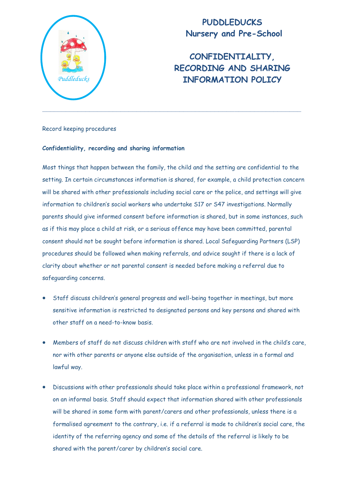

# **PUDDLEDUCKS Nursery and Pre-School**

# **CONFIDENTIALITY, RECORDING AND SHARING**  *Puddleducks* **INFORMATION POLICY**

Record keeping procedures

# **Confidentiality, recording and sharing information**

Most things that happen between the family, the child and the setting are confidential to the setting. In certain circumstances information is shared, for example, a child protection concern will be shared with other professionals including social care or the police, and settings will give information to children's social workers who undertake S17 or S47 investigations. Normally parents should give informed consent before information is shared, but in some instances, such as if this may place a child at risk, or a serious offence may have been committed, parental consent should not be sought before information is shared. Local Safeguarding Partners (LSP) procedures should be followed when making referrals, and advice sought if there is a lack of clarity about whether or not parental consent is needed before making a referral due to safeguarding concerns.

- Staff discuss children's general progress and well-being together in meetings, but more sensitive information is restricted to designated persons and key persons and shared with other staff on a need-to-know basis.
- Members of staff do not discuss children with staff who are not involved in the child's care, nor with other parents or anyone else outside of the organisation, unless in a formal and lawful way.
- Discussions with other professionals should take place within a professional framework, not on an informal basis. Staff should expect that information shared with other professionals will be shared in some form with parent/carers and other professionals, unless there is a formalised agreement to the contrary, i.e. if a referral is made to children's social care, the identity of the referring agency and some of the details of the referral is likely to be shared with the parent/carer by children's social care.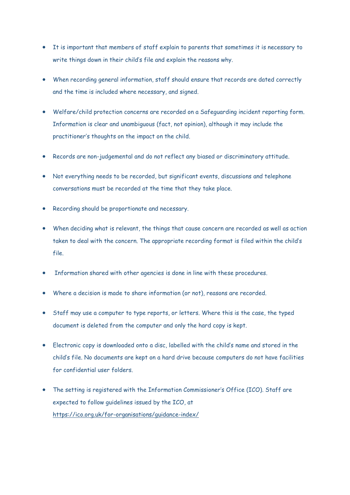- It is important that members of staff explain to parents that sometimes it is necessary to write things down in their child's file and explain the reasons why.
- When recording general information, staff should ensure that records are dated correctly and the time is included where necessary, and signed.
- Welfare/child protection concerns are recorded on a Safeguarding incident reporting form. Information is clear and unambiguous (fact, not opinion), although it may include the practitioner's thoughts on the impact on the child.
- Records are non-judgemental and do not reflect any biased or discriminatory attitude.
- Not everything needs to be recorded, but significant events, discussions and telephone conversations must be recorded at the time that they take place.
- Recording should be proportionate and necessary.
- When deciding what is relevant, the things that cause concern are recorded as well as action taken to deal with the concern. The appropriate recording format is filed within the child's file.
- Information shared with other agencies is done in line with these procedures.
- Where a decision is made to share information (or not), reasons are recorded.
- Staff may use a computer to type reports, or letters. Where this is the case, the typed document is deleted from the computer and only the hard copy is kept.
- Electronic copy is downloaded onto a disc, labelled with the child's name and stored in the child's file. No documents are kept on a hard drive because computers do not have facilities for confidential user folders.
- The setting is registered with the Information Commissioner's Office (ICO). Staff are expected to follow guidelines issued by the ICO, at <https://ico.org.uk/for-organisations/guidance-index/>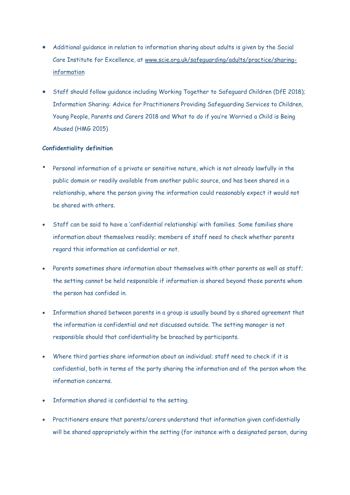- Additional guidance in relation to information sharing about adults is given by the Social Care Institute for Excellence, at [www.scie.org.uk/safeguarding/adults/practice/sharing](http://www.scie.org.uk/safeguarding/adults/practice/sharing-information)[information](http://www.scie.org.uk/safeguarding/adults/practice/sharing-information)
- Staff should follow guidance including Working Together to Safeguard Children (DfE 2018); Information Sharing: Advice for Practitioners Providing Safeguarding Services to Children, Young People, Parents and Carers 2018 and What to do if you're Worried a Child is Being Abused (HMG 2015)

# **Confidentiality definition**

- Personal information of a private or sensitive nature, which is not already lawfully in the public domain or readily available from another public source, and has been shared in a relationship, where the person giving the information could reasonably expect it would not be shared with others.
- Staff can be said to have a 'confidential relationship' with families. Some families share information about themselves readily; members of staff need to check whether parents regard this information as confidential or not.
- Parents sometimes share information about themselves with other parents as well as staff; the setting cannot be held responsible if information is shared beyond those parents whom the person has confided in.
- Information shared between parents in a group is usually bound by a shared agreement that the information is confidential and not discussed outside. The setting manager is not responsible should that confidentiality be breached by participants.
- Where third parties share information about an individual; staff need to check if it is confidential, both in terms of the party sharing the information and of the person whom the information concerns.
- Information shared is confidential to the setting.
- Practitioners ensure that parents/carers understand that information given confidentially will be shared appropriately within the setting (for instance with a designated person, during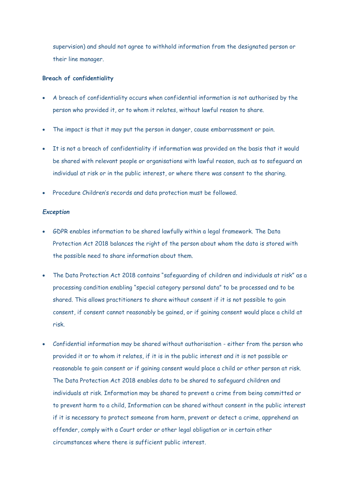supervision) and should not agree to withhold information from the designated person or their line manager.

#### **Breach of confidentiality**

- A breach of confidentiality occurs when confidential information is not authorised by the person who provided it, or to whom it relates, without lawful reason to share.
- The impact is that it may put the person in danger, cause embarrassment or pain.
- It is not a breach of confidentiality if information was provided on the basis that it would be shared with relevant people or organisations with lawful reason, such as to safeguard an individual at risk or in the public interest, or where there was consent to the sharing.
- Procedure Children's records and data protection must be followed.

# *Exception*

- GDPR enables information to be shared lawfully within a legal framework. The Data Protection Act 2018 balances the right of the person about whom the data is stored with the possible need to share information about them.
- The Data Protection Act 2018 contains "safeguarding of children and individuals at risk" as a processing condition enabling "special category personal data" to be processed and to be shared. This allows practitioners to share without consent if it is not possible to gain consent, if consent cannot reasonably be gained, or if gaining consent would place a child at risk.
- Confidential information may be shared without authorisation either from the person who provided it or to whom it relates, if it is in the public interest and it is not possible or reasonable to gain consent or if gaining consent would place a child or other person at risk. The Data Protection Act 2018 enables data to be shared to safeguard children and individuals at risk. Information may be shared to prevent a crime from being committed or to prevent harm to a child, Information can be shared without consent in the public interest if it is necessary to protect someone from harm, prevent or detect a crime, apprehend an offender, comply with a Court order or other legal obligation or in certain other circumstances where there is sufficient public interest.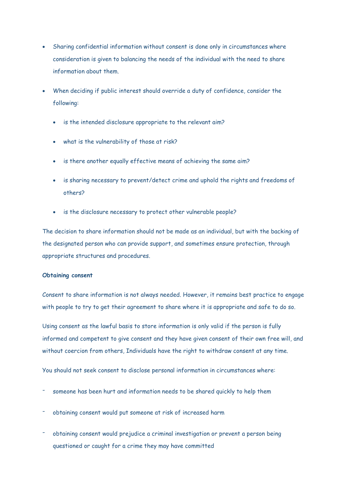- Sharing confidential information without consent is done only in circumstances where consideration is given to balancing the needs of the individual with the need to share information about them.
- When deciding if public interest should override a duty of confidence, consider the following:
	- is the intended disclosure appropriate to the relevant aim?
	- what is the vulnerability of those at risk?
	- is there another equally effective means of achieving the same aim?
	- is sharing necessary to prevent/detect crime and uphold the rights and freedoms of others?
	- is the disclosure necessary to protect other vulnerable people?

The decision to share information should not be made as an individual, but with the backing of the designated person who can provide support, and sometimes ensure protection, through appropriate structures and procedures.

#### **Obtaining consent**

Consent to share information is not always needed. However, it remains best practice to engage with people to try to get their agreement to share where it is appropriate and safe to do so.

Using consent as the lawful basis to store information is only valid if the person is fully informed and competent to give consent and they have given consent of their own free will, and without coercion from others, Individuals have the right to withdraw consent at any time.

You should not seek consent to disclose personal information in circumstances where:

- someone has been hurt and information needs to be shared quickly to help them
- obtaining consent would put someone at risk of increased harm
- obtaining consent would prejudice a criminal investigation or prevent a person being questioned or caught for a crime they may have committed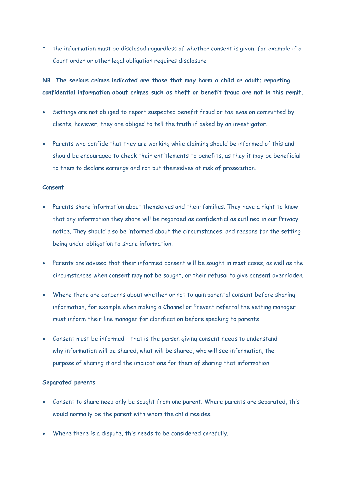the information must be disclosed regardless of whether consent is given, for example if a Court order or other legal obligation requires disclosure

# **NB. The serious crimes indicated are those that may harm a child or adult; reporting confidential information about crimes such as theft or benefit fraud are not in this remit.**

- Settings are not obliged to report suspected benefit fraud or tax evasion committed by clients, however, they are obliged to tell the truth if asked by an investigator.
- Parents who confide that they are working while claiming should be informed of this and should be encouraged to check their entitlements to benefits, as they it may be beneficial to them to declare earnings and not put themselves at risk of prosecution.

# **Consent**

- Parents share information about themselves and their families. They have a right to know that any information they share will be regarded as confidential as outlined in our Privacy notice. They should also be informed about the circumstances, and reasons for the setting being under obligation to share information.
- Parents are advised that their informed consent will be sought in most cases, as well as the circumstances when consent may not be sought, or their refusal to give consent overridden.
- Where there are concerns about whether or not to gain parental consent before sharing information, for example when making a Channel or Prevent referral the setting manager must inform their line manager for clarification before speaking to parents
- Consent must be informed that is the person giving consent needs to understand why information will be shared, what will be shared, who will see information, the purpose of sharing it and the implications for them of sharing that information.

# **Separated parents**

- Consent to share need only be sought from one parent. Where parents are separated, this would normally be the parent with whom the child resides.
- Where there is a dispute, this needs to be considered carefully.